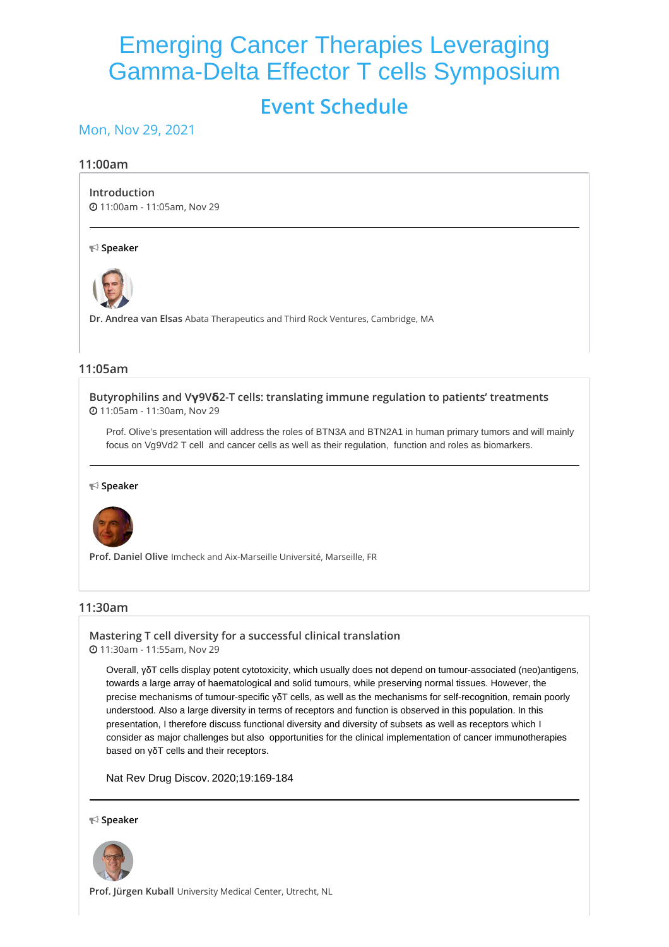# Emerging Cancer Therapies Leveraging Gamma-Delta Effector T cells Symposium **Event Schedule**

## Mon, Nov 29, 2021

#### **11:00am**

#### **[Introduction](https://whova.com/embedded/session/antib_202111/2049524/)**

11:00am - 11:05am, Nov 29

#### **Speaker**



**Dr. Andrea van Elsas** Abata Therapeutics and Third Rock Ventures, Cambridge, MA

## **11:05am**

**[Butyrophilins](https://whova.com/embedded/session/antib_202111/2049525/) and Vγ9Vδ2-T cells: translating immune regulation to patients' treatments** 11:05am - 11:30am, Nov 29

Prof. Olive's presentation will address the roles of BTN3A and BTN2A1 in human primary tumors and will mainly focus on Vg9Vd2 T cell and cancer cells as well as their regulation, function and roles as biomarkers.

#### **Speaker**



**Prof. Daniel Olive** Imcheck and Aix-Marseille Université, Marseille, FR

## **11:30am**

**Mastering T cell diversity for a successful clinical [translation](https://whova.com/embedded/session/antib_202111/2049526/)** 11:30am - 11:55am, Nov 29

Overall, γδT cells display potent cytotoxicity, which usually does not depend on tumour-associated (neo)antigens, towards a large array of haematological and solid tumours, while preserving normal tissues. However, the precise mechanisms of tumour-specific γδT cells, as well as the mechanisms for self-recognition, remain poorly understood. Also a large diversity in terms of receptors and function is observed in this population. In this presentation, I therefore discuss functional diversity and diversity of subsets as well as receptors which I consider as major challenges but also opportunities for the clinical implementation of cancer immunotherapies based on γδT cells and their receptors.

Nat Rev Drug [Discov.](https://www.ncbi.nlm.nih.gov/pubmed/31492944) 2020;19:169-184

#### **Speaker**



**Prof. Jürgen Kuball** University Medical Center, Utrecht, NL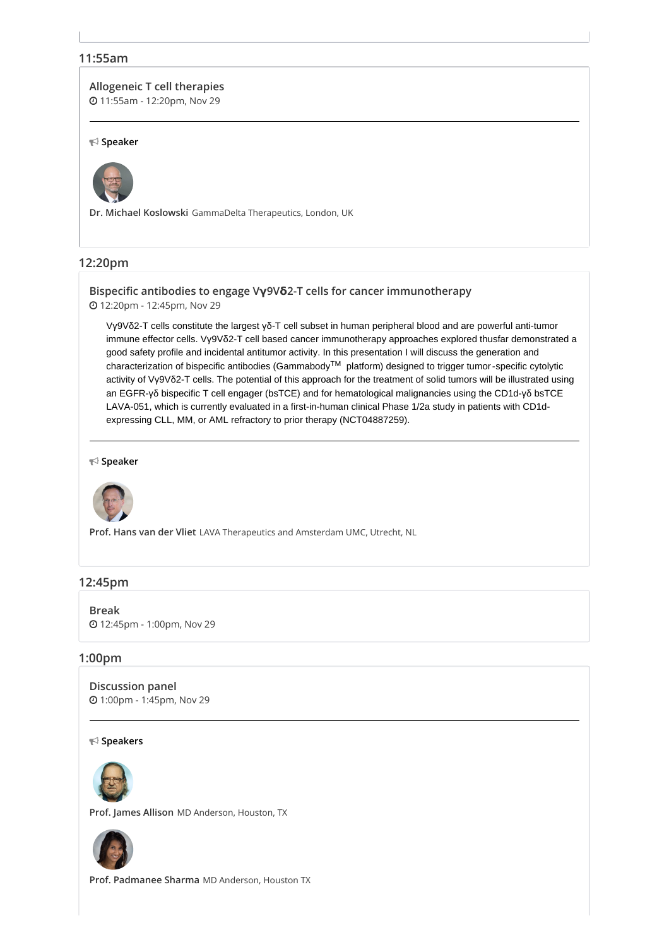## **11:55am**

### **[Allogeneic](https://whova.com/embedded/session/antib_202111/2049527/) T cell therapies**

11:55am - 12:20pm, Nov 29

#### **Speaker**



**Dr. Michael Koslowski** GammaDelta Therapeutics, London, UK

## **12:20pm**

**Bispecific antibodies to engage Vγ9Vδ2-T cells for cancer [immunotherapy](https://whova.com/embedded/session/antib_202111/2049528/)** 12:20pm - 12:45pm, Nov 29

Vγ9Vδ2-T cells constitute the largest γδ-T cell subset in human peripheral blood and are powerful anti-tumor immune effector cells. Vγ9Vδ2-T cell based cancer immunotherapy approaches explored thusfar demonstrated a good safety profile and incidental antitumor activity. In this presentation I will discuss the generation and characterization of bispecific antibodies (Gammabody™ platform) designed to trigger tumor-specific cytolytic activity of Vγ9Vδ2-T cells. The potential of this approach for the treatment of solid tumors will be illustrated using an EGFR-γδ bispecific T cell engager (bsTCE) and for hematological malignancies using the CD1d-γδ bsTCE LAVA-051, which is currently evaluated in a first-in-human clinical Phase 1/2a study in patients with CD1dexpressing CLL, MM, or AML refractory to prior therapy (NCT04887259).

#### **Speaker**



**Prof. Hans van der Vliet** LAVA Therapeutics and Amsterdam UMC, Utrecht, NL

## **12:45pm**

**[Break](https://whova.com/embedded/session/antib_202111/2049529/)** 12:45pm - 1:00pm, Nov 29

#### **1:00pm**

**[Discussion](https://whova.com/embedded/session/antib_202111/2049530/) panel** 1:00pm - 1:45pm, Nov 29

**Speakers**



**Prof. James Allison** MD Anderson, Houston, TX



**Prof. Padmanee Sharma** MD Anderson, Houston TX